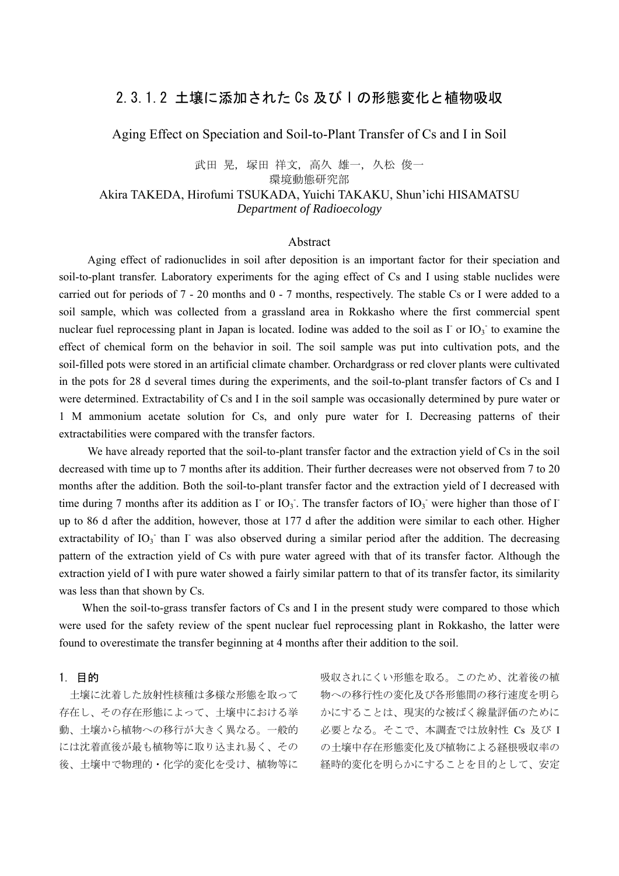# 2.3.1.2 土壌に添加された Cs 及び I の形態変化と植物吸収

Aging Effect on Speciation and Soil-to-Plant Transfer of Cs and I in Soil

## 武田 晃, 塚田 祥文, 高久 雄一, 久松 俊一 環境動態研究部 Akira TAKEDA, Hirofumi TSUKADA, Yuichi TAKAKU, Shun'ichi HISAMATSU *Department of Radioecology*

#### Abstract

 Aging effect of radionuclides in soil after deposition is an important factor for their speciation and soil-to-plant transfer. Laboratory experiments for the aging effect of Cs and I using stable nuclides were carried out for periods of 7 - 20 months and 0 - 7 months, respectively. The stable Cs or I were added to a soil sample, which was collected from a grassland area in Rokkasho where the first commercial spent nuclear fuel reprocessing plant in Japan is located. Iodine was added to the soil as  $\Gamma$  or  $IO_3$  to examine the effect of chemical form on the behavior in soil. The soil sample was put into cultivation pots, and the soil-filled pots were stored in an artificial climate chamber. Orchardgrass or red clover plants were cultivated in the pots for 28 d several times during the experiments, and the soil-to-plant transfer factors of Cs and I were determined. Extractability of Cs and I in the soil sample was occasionally determined by pure water or 1 M ammonium acetate solution for Cs, and only pure water for I. Decreasing patterns of their extractabilities were compared with the transfer factors.

We have already reported that the soil-to-plant transfer factor and the extraction yield of Cs in the soil decreased with time up to 7 months after its addition. Their further decreases were not observed from 7 to 20 months after the addition. Both the soil-to-plant transfer factor and the extraction yield of I decreased with time during 7 months after its addition as  $\Gamma$  or  $IO_3$ . The transfer factors of  $IO_3$  were higher than those of  $\Gamma$ up to 86 d after the addition, however, those at 177 d after the addition were similar to each other. Higher extractability of IO<sub>3</sub> than I was also observed during a similar period after the addition. The decreasing pattern of the extraction yield of Cs with pure water agreed with that of its transfer factor. Although the extraction yield of I with pure water showed a fairly similar pattern to that of its transfer factor, its similarity was less than that shown by Cs.

When the soil-to-grass transfer factors of Cs and I in the present study were compared to those which were used for the safety review of the spent nuclear fuel reprocessing plant in Rokkasho, the latter were found to overestimate the transfer beginning at 4 months after their addition to the soil.

#### 1. 目的

 土壌に沈着した放射性核種は多様な形態を取って 存在し、その存在形態によって、土壌中における挙 動、土壌から植物への移行が大きく異なる。一般的 には沈着直後が最も植物等に取り込まれ易く、その 後、土壌中で物理的・化学的変化を受け、植物等に 吸収されにくい形態を取る。このため、沈着後の植 物への移行性の変化及び各形態間の移行速度を明ら かにすることは、現実的な被ばく線量評価のために 必要となる。そこで、本調査では放射性 Cs 及び I の十壌中存在形態変化及び植物による経根吸収率の 経時的変化を明らかにすることを目的として、安定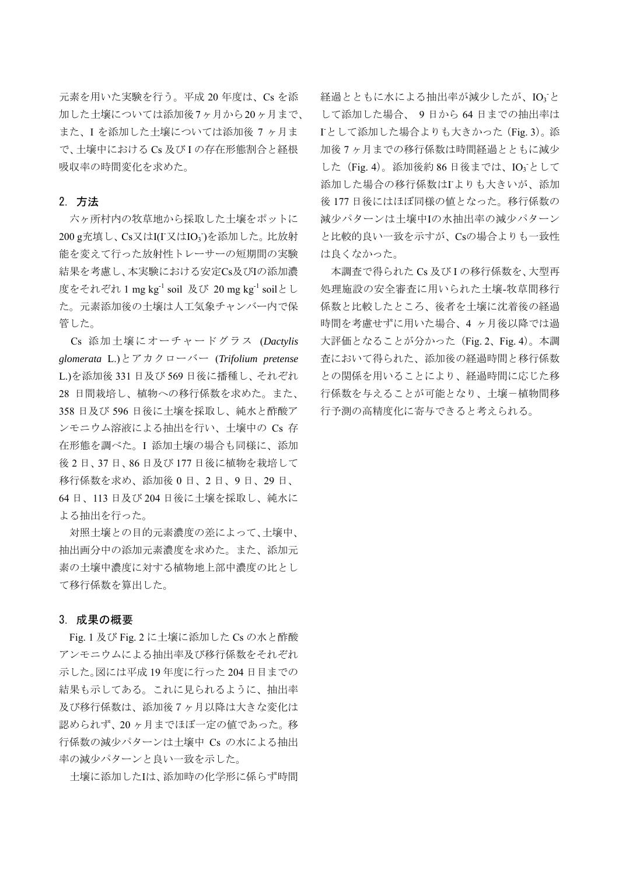元素を用いた実験を行う。平成 20 年度は、Cs を添 加した土壌については添加後7ヶ月から20ヶ月まで、 また、I を添加した土壌については添加後 7 ヶ月ま で、土壌中における Cs 及び I の存在形態割合と経根 吸収率の時間変化を求めた。

### 2. 方法

 六ヶ所村内の牧草地から採取した土壌をポットに 200 g充填し、Cs又はI(I 又はIO<sub>3</sub>)を添加した。比放射 能を変えて行った放射性トレーサーの短期間の実験 結果を考慮し、本実験における安定Cs及びIの添加濃 度をそれぞれ 1 mg kg-1 soil 及び 20 mg kg-1 soilとし た。元素添加後の土壌は人工気象チャンバー内で保 管した。

Cs 添加土壌にオーチャードグラス (*Dactylis glomerata* L.)とアカクローバー (*Trifolium pretense* L.)を添加後 331 日及び 569 日後に播種し、それぞれ 28 日間栽培し、植物への移行係数を求めた。また、 358 日及び 596 日後に土壌を採取し、純水と酢酸ア ンモニウム溶液による抽出を行い、土壌中の Cs 存 在形態を調べた。I 添加土壌の場合も同様に、添加 後 2 日、37 日、86 日及び 177 日後に植物を栽培して 移行係数を求め、添加後 0 日、2 日、9 日、29 日、 64 日、113 日及び 204 日後に土壌を採取し、純水に よる抽出を行った。

 対照土壌との目的元素濃度の差によって、土壌中、 抽出画分中の添加元素濃度を求めた。また、添加元 素の土壌中濃度に対する植物地上部中濃度の比とし て移行係数を算出した。

#### 3. 成果の概要

Fig. 1 及び Fig. 2 に土壌に添加した Cs の水と酢酸 アンモニウムによる抽出率及び移行係数をそれぞれ 示した。図には平成 19 年度に行った 204 日目までの 結果も示してある。これに見られるように、抽出率 及び移行係数は、添加後7ヶ月以降は大きな変化は 認められず、20 ヶ月までほぼ一定の値であった。移 行係数の減少パターンは土壌中 Cs の水による抽出 率の減少パターンと良い一致を示した。

土壌に添加したIは、添加時の化学形に係らず時間

経過とともに水による抽出率が減少したが、IO<sub>3</sub>と して添加した場合、 9 日から 64 日までの抽出率は I - として添加した場合よりも大きかった(Fig. 3)。添 加後 7 ヶ月までの移行係数は時間経過とともに減少 した (Fig. 4)。添加後約 86 日後までは、IO<sub>3</sub> として 添加した場合の移行係数はIよりも大きいが、添加 後 177 日後にはほぼ同様の値となった。移行係数の 減少パターンは土壌中Iの水抽出率の減少パターン と比較的良い一致を示すが、Csの場合よりも一致性 は良くなかった。

 本調査で得られた Cs 及び I の移行係数を、大型再 処理施設の安全審査に用いられた土壌-牧草間移行 係数と比較したところ、後者を土壌に沈着後の経過 時間を考慮せずに用いた場合、4 ヶ月後以降では過 大評価となることが分かった(Fig. 2、Fig. 4)。本調 査において得られた、添加後の経過時間と移行係数 との関係を用いることにより、経過時間に応じた移 行係数を与えることが可能となり、土壌-植物間移 行予測の高精度化に寄与できると考えられる。